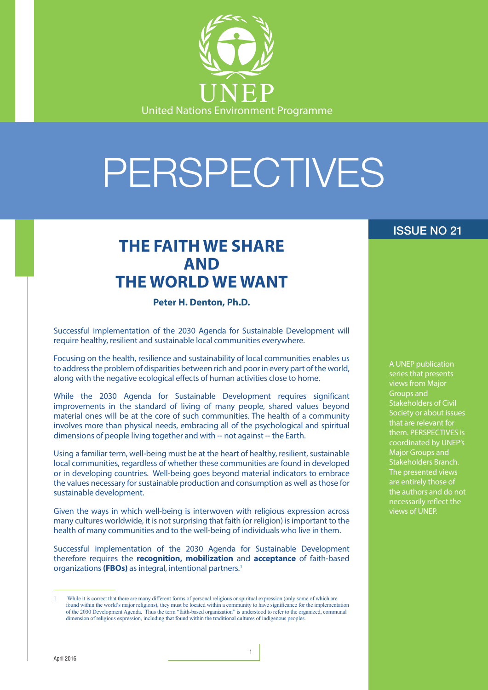

# PERSPECTIVES

## **THE FAITH WE SHARE AND THE WORLD WE WANT**

**Peter H. Denton, Ph.D.**

Successful implementation of the 2030 Agenda for Sustainable Development will require healthy, resilient and sustainable local communities everywhere.

Focusing on the health, resilience and sustainability of local communities enables us to address the problem of disparities between rich and poor in every part of the world, along with the negative ecological effects of human activities close to home.

While the 2030 Agenda for Sustainable Development requires significant improvements in the standard of living of many people, shared values beyond material ones will be at the core of such communities. The health of a community involves more than physical needs, embracing all of the psychological and spiritual dimensions of people living together and with -- not against -- the Earth.

Using a familiar term, well-being must be at the heart of healthy, resilient, sustainable local communities, regardless of whether these communities are found in developed or in developing countries. Well-being goes beyond material indicators to embrace the values necessary for sustainable production and consumption as well as those for sustainable development.

Given the ways in which well-being is interwoven with religious expression across many cultures worldwide, it is not surprising that faith (or religion) is important to the health of many communities and to the well-being of individuals who live in them.

Successful implementation of the 2030 Agenda for Sustainable Development therefore requires the **recognition, mobilization** and **acceptance** of faith-based organizations **(FBOs)** as integral, intentional partners.1

1

#### ISSUE NO 21

A UNEP publication series that presents views from Major Groups and Stakeholders of Civil Society or about issues that are relevant for them. PERSPECTIVES is coordinated by UNEP's Major Groups and Stakeholders Branch. The presented views are entirely those of the authors and do not necessarily reflect the views of UNEP.

While it is correct that there are many different forms of personal religious or spiritual expression (only some of which are found within the world's major religions), they must be located within a community to have significance for the implementation of the 2030 Development Agenda. Thus the term "faith-based organization" is understood to refer to the organized, communal dimension of religious expression, including that found within the traditional cultures of indigenous peoples.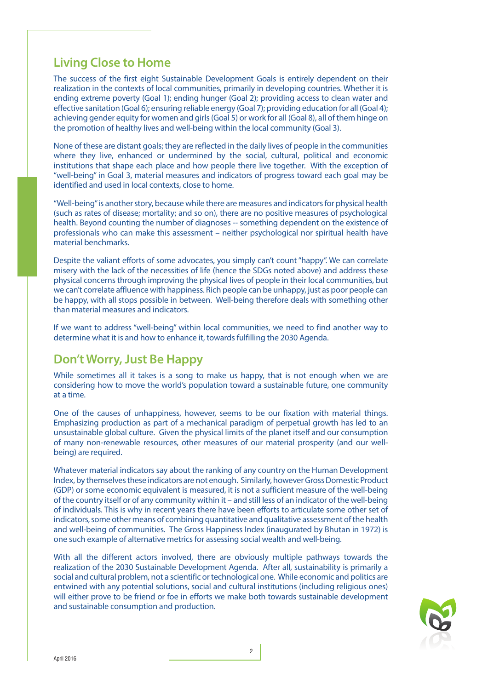#### **Living Close to Home**

The success of the first eight Sustainable Development Goals is entirely dependent on their realization in the contexts of local communities, primarily in developing countries. Whether it is ending extreme poverty (Goal 1); ending hunger (Goal 2); providing access to clean water and effective sanitation (Goal 6); ensuring reliable energy (Goal 7); providing education for all (Goal 4); achieving gender equity for women and girls (Goal 5) or work for all (Goal 8), all of them hinge on the promotion of healthy lives and well-being within the local community (Goal 3).

None of these are distant goals; they are reflected in the daily lives of people in the communities where they live, enhanced or undermined by the social, cultural, political and economic institutions that shape each place and how people there live together. With the exception of "well-being" in Goal 3, material measures and indicators of progress toward each goal may be identified and used in local contexts, close to home.

"Well-being" is another story, because while there are measures and indicators for physical health (such as rates of disease; mortality; and so on), there are no positive measures of psychological health. Beyond counting the number of diagnoses -- something dependent on the existence of professionals who can make this assessment – neither psychological nor spiritual health have material benchmarks.

Despite the valiant efforts of some advocates, you simply can't count "happy". We can correlate misery with the lack of the necessities of life (hence the SDGs noted above) and address these physical concerns through improving the physical lives of people in their local communities, but we can't correlate affluence with happiness. Rich people can be unhappy, just as poor people can be happy, with all stops possible in between. Well-being therefore deals with something other than material measures and indicators.

If we want to address "well-being" within local communities, we need to find another way to determine what it is and how to enhance it, towards fulfilling the 2030 Agenda.

#### **Don't Worry, Just Be Happy**

While sometimes all it takes is a song to make us happy, that is not enough when we are considering how to move the world's population toward a sustainable future, one community at a time.

One of the causes of unhappiness, however, seems to be our fixation with material things. Emphasizing production as part of a mechanical paradigm of perpetual growth has led to an unsustainable global culture. Given the physical limits of the planet itself and our consumption of many non-renewable resources, other measures of our material prosperity (and our wellbeing) are required.

Whatever material indicators say about the ranking of any country on the Human Development Index, by themselves these indicators are not enough. Similarly, however Gross Domestic Product (GDP) or some economic equivalent is measured, it is not a sufficient measure of the well-being of the country itself or of any community within it – and still less of an indicator of the well-being of individuals. This is why in recent years there have been efforts to articulate some other set of indicators, some other means of combining quantitative and qualitative assessment of the health and well-being of communities. The Gross Happiness Index (inaugurated by Bhutan in 1972) is one such example of alternative metrics for assessing social wealth and well-being.

With all the different actors involved, there are obviously multiple pathways towards the realization of the 2030 Sustainable Development Agenda. After all, sustainability is primarily a social and cultural problem, not a scientific or technological one. While economic and politics are entwined with any potential solutions, social and cultural institutions (including religious ones) will either prove to be friend or foe in efforts we make both towards sustainable development and sustainable consumption and production.

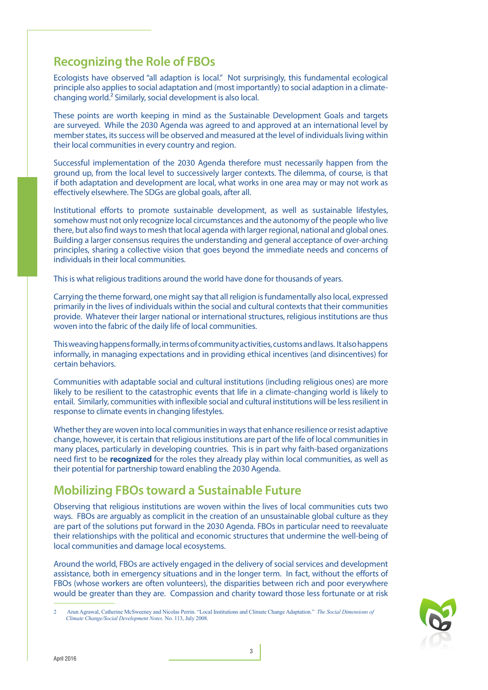### **Recognizing the Role of FBOs**

Ecologists have observed "all adaption is local." Not surprisingly, this fundamental ecological principle also applies to social adaptation and (most importantly) to social adaption in a climatechanging world.2 Similarly, social development is also local.

These points are worth keeping in mind as the Sustainable Development Goals and targets are surveyed. While the 2030 Agenda was agreed to and approved at an international level by member states, its success will be observed and measured at the level of individuals living within their local communities in every country and region.

Successful implementation of the 2030 Agenda therefore must necessarily happen from the ground up, from the local level to successively larger contexts. The dilemma, of course, is that if both adaptation and development are local, what works in one area may or may not work as effectively elsewhere. The SDGs are global goals, after all.

Institutional efforts to promote sustainable development, as well as sustainable lifestyles, somehow must not only recognize local circumstances and the autonomy of the people who live there, but also find ways to mesh that local agenda with larger regional, national and global ones. Building a larger consensus requires the understanding and general acceptance of over-arching principles, sharing a collective vision that goes beyond the immediate needs and concerns of individuals in their local communities.

This is what religious traditions around the world have done for thousands of years.

Carrying the theme forward, one might say that all religion is fundamentally also local, expressed primarily in the lives of individuals within the social and cultural contexts that their communities provide. Whatever their larger national or international structures, religious institutions are thus woven into the fabric of the daily life of local communities.

This weaving happens formally, in terms of community activities, customs and laws. It also happens informally, in managing expectations and in providing ethical incentives (and disincentives) for certain behaviors.

Communities with adaptable social and cultural institutions (including religious ones) are more likely to be resilient to the catastrophic events that life in a climate-changing world is likely to entail. Similarly, communities with inflexible social and cultural institutions will be less resilient in response to climate events in changing lifestyles.

Whether they are woven into local communities in ways that enhance resilience or resist adaptive change, however, it is certain that religious institutions are part of the life of local communities in many places, particularly in developing countries. This is in part why faith-based organizations need first to be **recognized** for the roles they already play within local communities, as well as their potential for partnership toward enabling the 2030 Agenda.

#### **Mobilizing FBOs toward a Sustainable Future**

Observing that religious institutions are woven within the lives of local communities cuts two ways. FBOs are arguably as complicit in the creation of an unsustainable global culture as they are part of the solutions put forward in the 2030 Agenda. FBOs in particular need to reevaluate their relationships with the political and economic structures that undermine the well-being of local communities and damage local ecosystems.

Around the world, FBOs are actively engaged in the delivery of social services and development assistance, both in emergency situations and in the longer term. In fact, without the efforts of FBOs (whose workers are often volunteers), the disparities between rich and poor everywhere would be greater than they are. Compassion and charity toward those less fortunate or at risk



<sup>2</sup> Arun Agrawal, Catherine McSweeney and Nicolas Perrin. "Local Institutions and Climate Change Adaptation." *The Social Dimensions of Climate Change/Social Development Notes.* No. 113, July 2008.